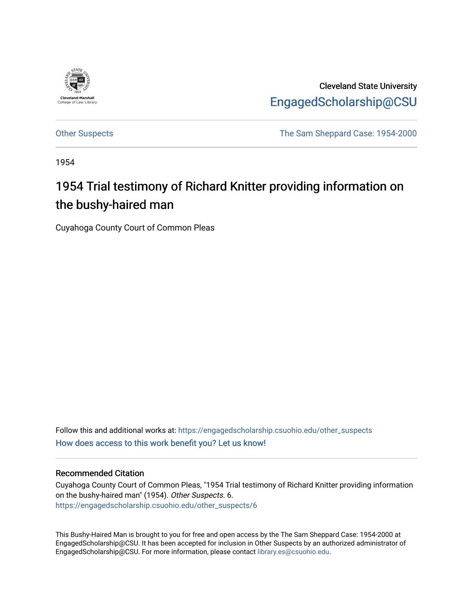

Cleveland State University [EngagedScholarship@CSU](https://engagedscholarship.csuohio.edu/) 

[Other Suspects](https://engagedscholarship.csuohio.edu/other_suspects) The Sam Sheppard Case: 1954-2000

1954

## 1954 Trial testimony of Richard Knitter providing information on the bushy-haired man

Cuyahoga County Court of Common Pleas

Follow this and additional works at: [https://engagedscholarship.csuohio.edu/other\\_suspects](https://engagedscholarship.csuohio.edu/other_suspects?utm_source=engagedscholarship.csuohio.edu%2Fother_suspects%2F6&utm_medium=PDF&utm_campaign=PDFCoverPages) [How does access to this work benefit you? Let us know!](http://library.csuohio.edu/engaged/)

## Recommended Citation

Cuyahoga County Court of Common Pleas, "1954 Trial testimony of Richard Knitter providing information on the bushy-haired man" (1954). Other Suspects. 6. [https://engagedscholarship.csuohio.edu/other\\_suspects/6](https://engagedscholarship.csuohio.edu/other_suspects/6?utm_source=engagedscholarship.csuohio.edu%2Fother_suspects%2F6&utm_medium=PDF&utm_campaign=PDFCoverPages) 

This Bushy-Haired Man is brought to you for free and open access by the The Sam Sheppard Case: 1954-2000 at EngagedScholarship@CSU. It has been accepted for inclusion in Other Suspects by an authorized administrator of EngagedScholarship@CSU. For more information, please contact [library.es@csuohio.edu](mailto:library.es@csuohio.edu).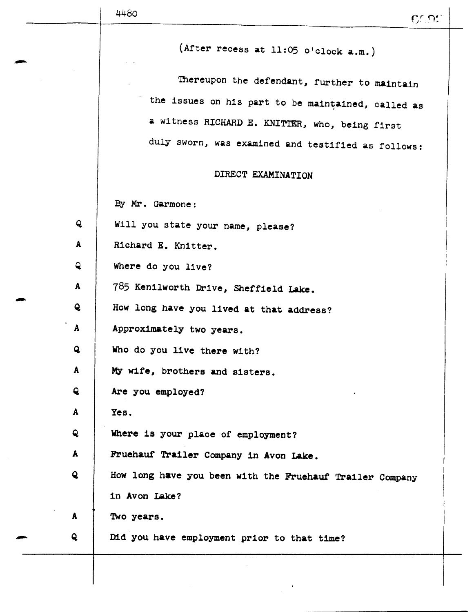(After recess at 11:05 o'clock a.m.)

Thereupon the defendant, further to maintain the issues on his part to be maintained, called as a witness RICHARD E. KNITTER, who, being first duly sworn, was examined and testified as follows:

## DIRECT EXAMINATION

By Mr. Garmone:

- Q Will you state your name, please?
- A | Richard E. Knitter.
- Q Where do you live?
- A | 785 Kenilworth Drive, Sheffield Lake.
- Q How long have you lived at that address?
- A | Approximately two years.
- Q Who do you live there with?
- A | My wife, brothers and sisters.
- Q Are you employed?
- A Yes.
- Q Where is your place of employment?
- A Fruehauf Trailer Company in Avon Lake.
- Q How long have you been with the Fruehauf Trailer Company in Avon Lake?
- A Two years.
- Q Did you have employment prior to that time?
-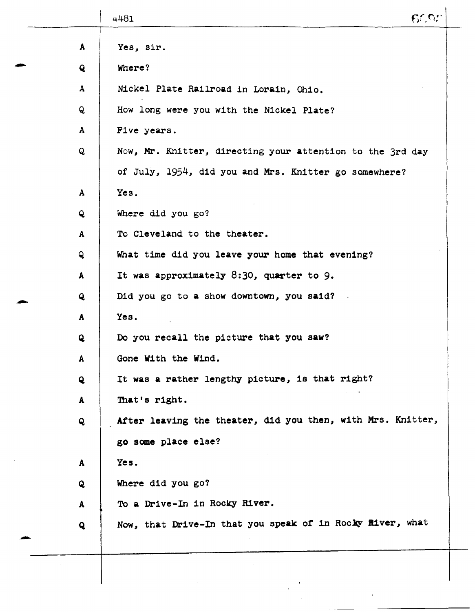|              | 4481                                                        | C |
|--------------|-------------------------------------------------------------|---|
| A            | Yes, sir.                                                   |   |
| $\mathbf{Q}$ | Where?                                                      |   |
| $\mathbf{A}$ | Nickel Plate Railroad in Lorain, Ohio.                      |   |
| Q            | How long were you with the Nickel Plate?                    |   |
| A            | Five years.                                                 |   |
| $\mathbf{Q}$ | Now, Mr. Knitter, directing your attention to the 3rd day   |   |
|              | of July, 1954, did you and Mrs. Knitter go somewhere?       |   |
| $\mathbf{A}$ | Yes.                                                        |   |
| $\mathbf{Q}$ | Where did you go?                                           |   |
| $\mathbf{A}$ | To Cleveland to the theater.                                |   |
| Q            | What time did you leave your home that evening?             |   |
| $\mathbf{A}$ | It was approximately 8:30, quarter to 9.                    |   |
| Q            | Did you go to a show downtown, you said?                    |   |
| $\mathbf{A}$ | Yes.                                                        |   |
| Q            | Do you recall the picture that you saw?                     |   |
| $\mathbf{A}$ | Gone With the Wind.                                         |   |
| Q            | It was a rather lengthy picture, is that right?             |   |
| A            | That's right.                                               |   |
| Q            | After leaving the theater, did you then, with Mrs. Knitter, |   |
|              | go some place else?                                         |   |
| A            | Yes.                                                        |   |
| Q            | Where did you go?                                           |   |
| A            | To a Drive-In in Rocky River.                               |   |
| $\mathbf{Q}$ | Now, that Drive-In that you speak of in Rocky River, what   |   |
|              |                                                             |   |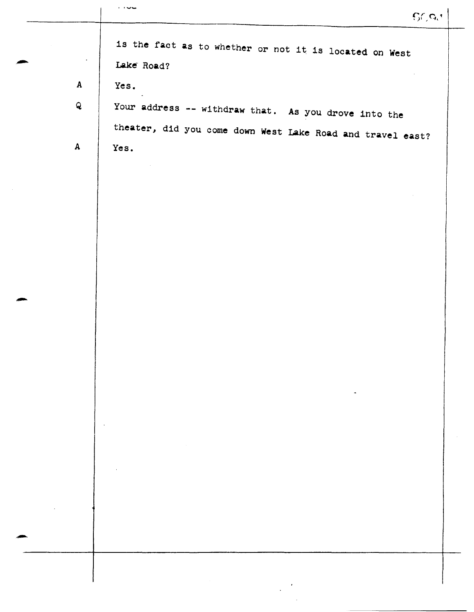|              | GCA                                                                  |
|--------------|----------------------------------------------------------------------|
| $\bullet$    | is the fact as to whether or not it is located on West<br>Lake Road? |
| $\mathbf{A}$ | Yes.                                                                 |
| $\mathbf{Q}$ | Your address -- withdraw that. As you drove into the                 |
|              | theater, did you come down West Lake Road and travel east?           |
| $\mathbf{A}$ | Yes.                                                                 |
|              |                                                                      |
|              |                                                                      |
|              |                                                                      |
|              |                                                                      |
|              |                                                                      |
|              |                                                                      |
|              |                                                                      |
|              |                                                                      |
|              |                                                                      |
|              |                                                                      |
|              |                                                                      |
|              |                                                                      |
|              |                                                                      |
|              |                                                                      |
|              |                                                                      |
|              |                                                                      |
|              |                                                                      |
|              |                                                                      |
|              |                                                                      |
|              |                                                                      |
|              |                                                                      |

 $\mathcal{A}^{\mathcal{A}}$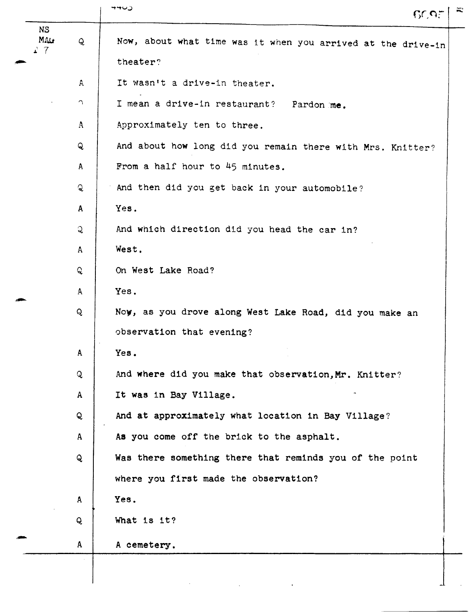| <b>NS</b>  |              | 6095                                                         |
|------------|--------------|--------------------------------------------------------------|
| MALT<br>27 | Q            | Now, about what time was it when you arrived at the drive-in |
|            |              | theater?                                                     |
|            | $\mathsf{A}$ | It wasn't a drive-in theater.                                |
|            | $\bigcap$    | I mean a drive-in restaurant?<br>Pardon me.                  |
|            | $\mathbf{A}$ | Approximately ten to three.                                  |
|            | Q            | And about how long did you remain there with Mrs. Knitter?   |
|            | $\mathbf{A}$ | From a half hour to 45 minutes.                              |
|            | Q            | And then did you get back in your automobile?                |
|            | $\mathbf{A}$ | Yes.                                                         |
|            | $\mathbf{Q}$ | And which direction did you head the car in?                 |
|            | $\mathbf{A}$ | West.                                                        |
|            | Q            | On West Lake Road?                                           |
|            | A            | Yes.                                                         |
|            | Q            | Now, as you drove along West Lake Road, did you make an      |
|            |              | observation that evening?                                    |
|            | A            | Yes.                                                         |
|            | Q            | And where did you make that observation, Mr. Knitter?        |
|            | $\mathbf{A}$ | It was in Bay Village.                                       |
|            | Q            | And at approximately what location in Bay Village?           |
|            | A            | As you come off the brick to the asphalt.                    |
|            | Q            | Was there something there that reminds you of the point      |
|            |              | where you first made the observation?                        |
|            | $\mathbf{A}$ | Yes.                                                         |
|            | Q            | What is it?                                                  |
|            | A            | A cemetery.                                                  |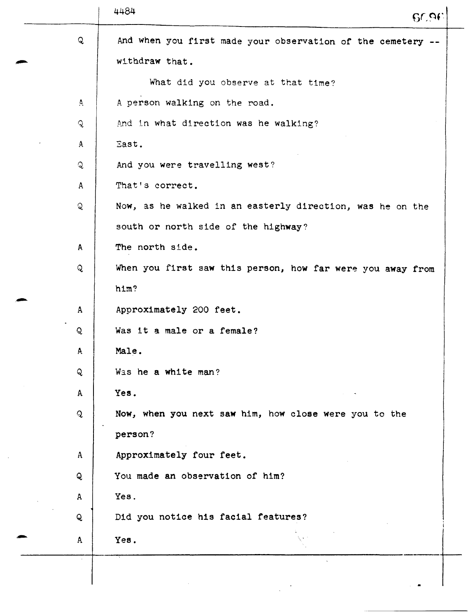|              | 4484<br>60.96                                               |
|--------------|-------------------------------------------------------------|
| Q            | And when you first made your observation of the cemetery -- |
|              | withdraw that.                                              |
|              | What did you observe at that time?                          |
| A.           | A person walking on the road.                               |
| Q.           | And in what direction was he walking?                       |
| $\mathbf{A}$ | East.                                                       |
| Q            | And you were travelling west?                               |
| $\mathbf{A}$ | That's correct.                                             |
| Q            | Now, as he walked in an easterly direction, was he on the   |
|              | south or north side of the highway?                         |
| A            | The north side.                                             |
| $\mathsf{Q}$ | When you first saw this person, how far were you away from  |
|              | him?                                                        |
| $\mathbf{A}$ | Approximately 200 feet.                                     |
| Q            | Was it a male or a female?                                  |
| A.           | Male.                                                       |
| Q            | Was he a white man?                                         |
| A            | Yes.                                                        |
| $\mathbf{Q}$ | Now, when you next saw him, how close were you to the       |
|              | person?                                                     |
| $\mathbf{A}$ | Approximately four feet.                                    |
| Q            | You made an observation of him?                             |
| A            | Yes.                                                        |
| Q            | Did you notice his facial features?                         |
| $\mathsf{A}$ | Yes.                                                        |
|              |                                                             |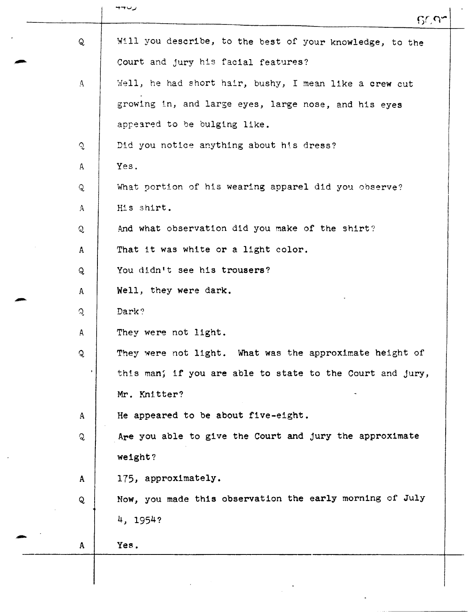|              | ャーーン<br>6097                                              |
|--------------|-----------------------------------------------------------|
| Q            | Will you describe, to the best of your knowledge, to the  |
|              | Court and jury his facial features?                       |
| $\Delta$     | Well, he had short hair, bushy, I mean like a crew cut    |
|              | growing in, and large eyes, large nose, and his eyes      |
|              | appeared to be bulging like.                              |
| $\mathbf{Q}$ | Did you notice anything about his dress?                  |
| $\mathbf{A}$ | Yes.                                                      |
| Q            | What portion of his wearing apparel did you observe?      |
| $\mathbf{A}$ | His shirt.                                                |
| Q            | And what observation did you make of the shirt?           |
| $\mathbf{A}$ | That it was white or a light color.                       |
| Q            | You didn't see his trousers?                              |
| A            | Well, they were dark.                                     |
| Q.           | Dark?                                                     |
| $\mathsf{A}$ | They were not light.                                      |
| Q            | They were not light. What was the approximate height of   |
|              | this man; if you are able to state to the Court and jury, |
|              | Mr. Knitter?                                              |
| $\mathbf{A}$ | He appeared to be about five-eight.                       |
| Q            | Are you able to give the Court and jury the approximate   |
|              | weight?                                                   |
| $\mathbf{A}$ | 175, approximately.                                       |
| Q            | Now, you made this observation the early morning of July  |
|              | 4, 1954?                                                  |
| A            | Yes.                                                      |
|              |                                                           |
|              |                                                           |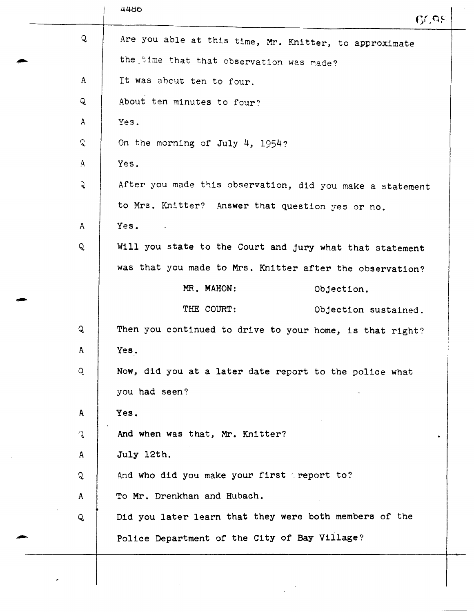|               | 4486<br>CCE                                               |
|---------------|-----------------------------------------------------------|
| $\mathbf{Q}$  | Are you able at this time, Mr. Knitter, to approximate    |
|               | the time that that observation was made?                  |
| $\mathbf{A}$  | It was about ten to four.                                 |
| Q             | About ten minutes to four?                                |
| $\mathsf{A}$  | Yes.                                                      |
| $\mathcal{C}$ | On the morning of July 4, 1954?                           |
| $\mathbf{A}$  | Yes.                                                      |
| $\mathbf{Q}$  | After you made this observation, did you make a statement |
|               | to Mrs. Knitter? Answer that question yes or no.          |
| $\mathbf{A}$  | Yes.<br>$\sim 100$ km                                     |
| Q             | Will you state to the Court and jury what that statement  |
|               | was that you made to Mrs. Knitter after the observation?  |
|               | MR. MAHON:<br>Objection.                                  |
|               | THE COURT:<br>Objection sustained.                        |
| Q             | Then you continued to drive to your home, is that right?  |
| A             | Yes.                                                      |
| Q.            | Now, did you at a later date report to the police what    |
|               | you had seen?                                             |
| A             | Yes.                                                      |
| ृ             | And when was that, Mr. Knitter?                           |
| $\mathbf{A}$  | July 12th.                                                |
| $\mathbf{Q}$  | And who did you make your first peport to?                |
| $\mathbf{A}$  | To Mr. Drenkhan and Hubach.                               |
| Q             | Did you later learn that they were both members of the    |
|               | Police Department of the City of Bay Village?             |
|               |                                                           |

 $\mathcal{L}$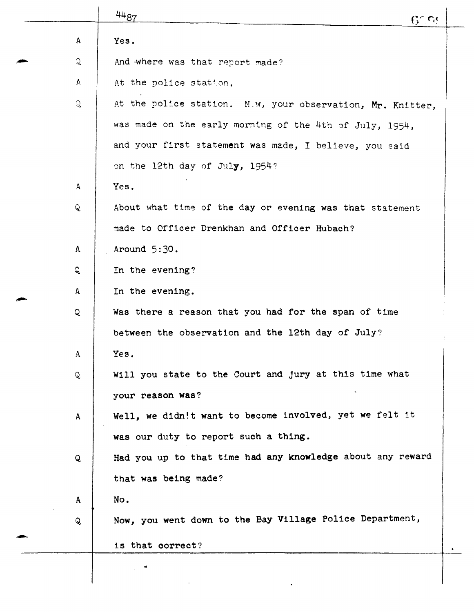|              | 4487<br>$C$ $C$                                            |  |
|--------------|------------------------------------------------------------|--|
| $\mathbf{A}$ | Yes.                                                       |  |
| $\mathbf{Q}$ | And where was that report made?                            |  |
| $\Delta$     | At the police station.                                     |  |
| Q            | At the police station. Niw, your observation, Mr. Knitter, |  |
|              | was made on the early morning of the 4th of July, 1954,    |  |
|              | and your first statement was made, I believe, you said     |  |
|              | on the 12th day of July, 1954?                             |  |
| $\mathbf{A}$ | Yes.                                                       |  |
| Q            | About what time of the day or evening was that statement   |  |
|              | made to Officer Drenkhan and Officer Hubach?               |  |
| A            | Around $5:30$ .                                            |  |
| Q.           | In the evening?                                            |  |
| A            | In the evening.                                            |  |
| Q            | Was there a reason that you had for the span of time       |  |
|              | between the observation and the 12th day of July?          |  |
| A            | Yes.                                                       |  |
| Q            | Will you state to the Court and jury at this time what     |  |
|              | your reason was?                                           |  |
| A            | Well, we didn!t want to become involved, yet we felt it    |  |
|              | was our duty to report such a thing.                       |  |
| Q            | Had you up to that time had any knowledge about any reward |  |
|              | that was being made?                                       |  |
| $\mathbf{A}$ | No.                                                        |  |
| $\mathbf{Q}$ | Now, you went down to the Bay Village Police Department,   |  |
|              | is that correct?                                           |  |
|              | $\pmb{\mathsf{u}}$                                         |  |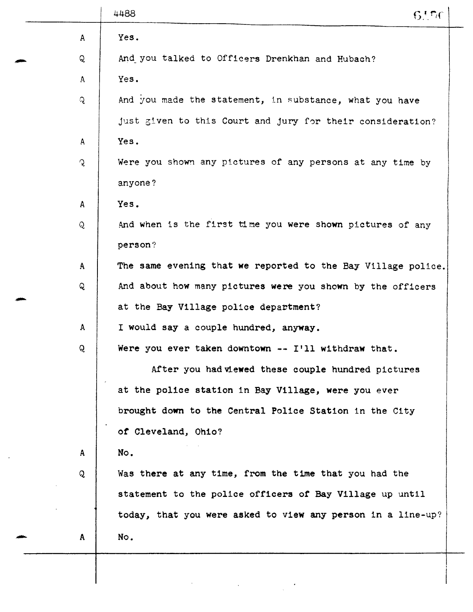|               | 4488<br>6!76                                                 |
|---------------|--------------------------------------------------------------|
| A             | Yes.                                                         |
| Q             | And you talked to Officers Drenkhan and Hubach?              |
| $\mathsf{A}$  | Yes.                                                         |
| Q             | And you made the statement, in substance, what you have      |
|               | just given to this Court and jury for their consideration?   |
| A             | Yes.                                                         |
| $\mathcal{L}$ | Were you shown any pictures of any persons at any time by    |
|               | anyone?                                                      |
| $\mathsf{A}$  | Yes.                                                         |
| Q             | And when is the first time you were shown pictures of any    |
|               | person?                                                      |
| $\mathbf{A}$  | The same evening that we reported to the Bay Village police. |
| Q             | And about how many pictures were you shown by the officers   |
|               | at the Bay Village police department?                        |
| $\mathbf{A}$  | I would say a couple hundred, anyway.                        |
| Q             | Were you ever taken downtown -- I'll withdraw that.          |
|               | After you had viewed these couple hundred pictures           |
|               | at the police station in Bay Village, were you ever          |
|               | brought down to the Central Police Station in the City       |
|               | of Cleveland, Ohio?                                          |
| $\mathbf{A}$  | No.                                                          |
| Q             | Was there at any time, from the time that you had the        |
|               | statement to the police officers of Bay Village up until     |
|               | today, that you were asked to view any person in a line-up?  |
| $\mathbf{A}$  | No.                                                          |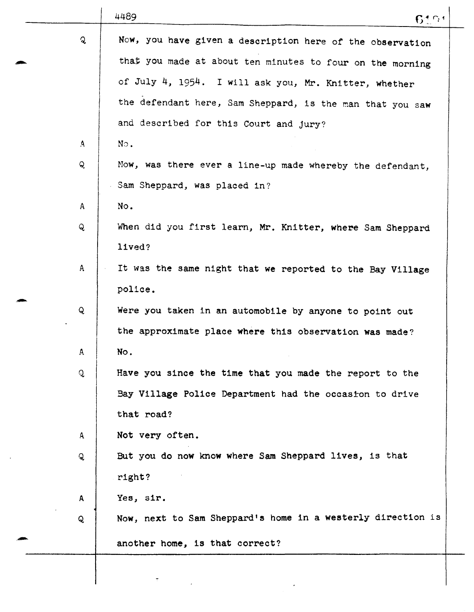|              | 4489<br>64.04                                               |
|--------------|-------------------------------------------------------------|
| Q            | Now, you have given a description here of the observation   |
|              | that you made at about ten minutes to four on the morning   |
|              | of July 4, 1954. I will ask you, Mr. Knitter, whether       |
|              | the defendant here, Sam Sheppard, is the man that you saw   |
|              | and described for this Court and jury?                      |
| $\mathbf{A}$ | No.                                                         |
| Q            | Now, was there ever a line-up made whereby the defendant,   |
|              | Sam Sheppard, was placed in?                                |
| A            | No.                                                         |
| $\mathsf{Q}$ | When did you first learn, Mr. Knitter, where Sam Sheppard   |
|              | lived?                                                      |
| $\mathsf{A}$ | It was the same night that we reported to the Bay Village   |
|              | police.                                                     |
| Q            | Were you taken in an automobile by anyone to point out      |
|              | the approximate place where this observation was made?      |
| A            | No.                                                         |
| Q            | Have you since the time that you made the report to the     |
|              | Bay Village Police Department had the occasion to drive     |
|              | that road?                                                  |
| $\mathbf{A}$ | Not very often.                                             |
| $\mathbf{Q}$ | But you do now know where Sam Sheppard lives, is that       |
|              | right?                                                      |
| A            | Yes, sir.                                                   |
| Q            | Now, next to Sam Sheppard's home in a westerly direction is |
|              | another home, is that correct?                              |
|              |                                                             |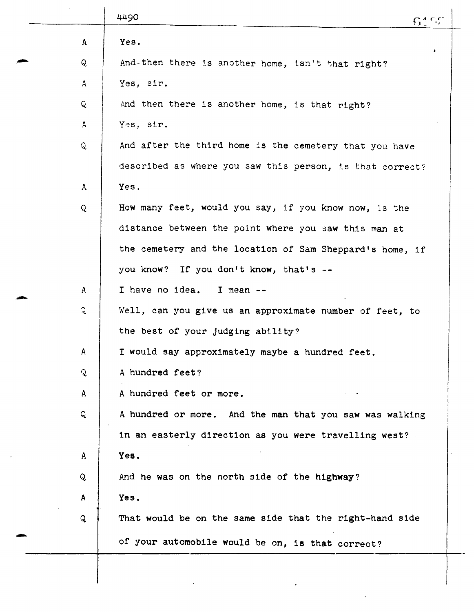|              | 4490<br>6127                                             |
|--------------|----------------------------------------------------------|
| $\mathbf{A}$ | Yes.                                                     |
| Q            | ٠<br>And-then there is another home, isn't that right?   |
| A            | Yes, sir.                                                |
| Q            | And then there is another home, is that right?           |
| $\mathbf{A}$ | Yes, sir.                                                |
| Q            | And after the third home is the cemetery that you have   |
|              | described as where you saw this person, is that correct? |
| A            | Yes.                                                     |
| $\mathbf{Q}$ | How many feet, would you say, if you know now, is the    |
|              | distance between the point where you saw this man at     |
|              | the cemetery and the location of Sam Sheppard's home, if |
|              | you know? If you don't know, that's --                   |
| A            | I have no idea. I mean --                                |
| ्            | Well, can you give us an approximate number of feet, to  |
|              | the best of your judging ability?                        |
| A            | I would say approximately maybe a hundred feet.          |
| $\mathbf{Q}$ | A hundred feet?                                          |
| $\mathbf{A}$ | A hundred feet or more.                                  |
| Q            | A hundred or more. And the man that you saw was walking  |
|              | in an easterly direction as you were travelling west?    |
| A            | Yes.                                                     |
| Q            | And he was on the north side of the highway?             |
| A            | Yes.                                                     |
| Q            | That would be on the same side that the right-hand side  |
|              | of your automobile would be on, is that correct?         |
|              |                                                          |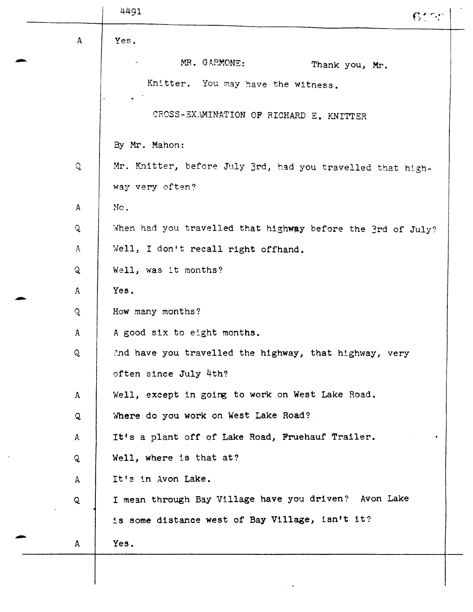|              | 4491                                                        | 6100           |
|--------------|-------------------------------------------------------------|----------------|
| $\mathbf{A}$ | Yes.                                                        |                |
|              | MR. GARMONE:                                                | Thank you, Mr. |
|              | Knitter. You may have the witness.                          |                |
|              | CROSS-EXAMINATION OF RICHARD E. KNITTER                     |                |
|              | By Mr. Mahon:                                               |                |
| Q            | Mr. Knitter, before July 3rd, had you travelled that high-  |                |
|              | way very often?                                             |                |
| $\mathbf{A}$ | No.                                                         |                |
| $\mathbf{Q}$ | When had you travelled that highway before the 3rd of July? |                |
| $\mathbf{A}$ | Well, I don't recall right offhand.                         |                |
| Q            | Well, was it months?                                        |                |
| $\mathbf{A}$ | Yes.                                                        |                |
| Q            | How many months?                                            |                |
| A            | A good six to eight months.                                 |                |
| Q            | And have you travelled the highway, that highway, very      |                |
|              | often since July 4th?                                       |                |
| A            | Well, except in going to work on West Lake Road.            |                |
| Q            | Where do you work on West Lake Road?                        |                |
| A            | It's a plant off of Lake Road, Fruehauf Trailer.            |                |
| Q            | Well, where is that at?                                     |                |
| $\mathsf{A}$ | It's in Avon Lake.                                          |                |
| Q            | I mean through Bay Village have you driven? Avon Lake       |                |
|              | is some distance west of Bay Village, isn't it?             |                |
| A            | Yes.                                                        |                |
|              |                                                             |                |
|              |                                                             |                |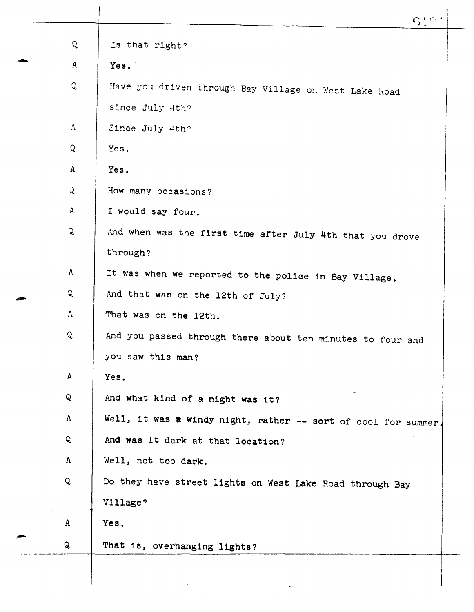| Q             | Is that right?                                                 |
|---------------|----------------------------------------------------------------|
| A             | Yes.                                                           |
| $\mathcal{C}$ | Have you driven through Bay Village on West Lake Road          |
|               | since July 4th?                                                |
| $\Lambda$     | Since July 4th?                                                |
| $\mathcal{Q}$ | Yes.                                                           |
| $\mathbf{A}$  | Yes.                                                           |
| $\mathcal{L}$ | How many occasions?                                            |
| $\mathbf{A}$  | I would say four.                                              |
| $\mathbf{Q}$  | And when was the first time after July 4th that you drove      |
|               | through?                                                       |
| A             | It was when we reported to the police in Bay Village.          |
| Q             | And that was on the 12th of July?                              |
| $\mathsf{A}$  | That was on the 12th.                                          |
| ्रु           | And you passed through there about ten minutes to four and     |
|               | you saw this man?                                              |
| A             | Yes.                                                           |
| Q             | And what kind of a night was it?                               |
| $\mathbf{A}$  | Well, it was a windy night, rather -- sort of cool for summer. |
| Q             | And was it dark at that location?                              |
| $\mathbf{A}$  | Well, not too dark.                                            |
| Q             | Do they have street lights on West Lake Road through Bay       |
|               | Village?                                                       |
| A             | Yes.                                                           |
| Q             | That is, overhanging lights?                                   |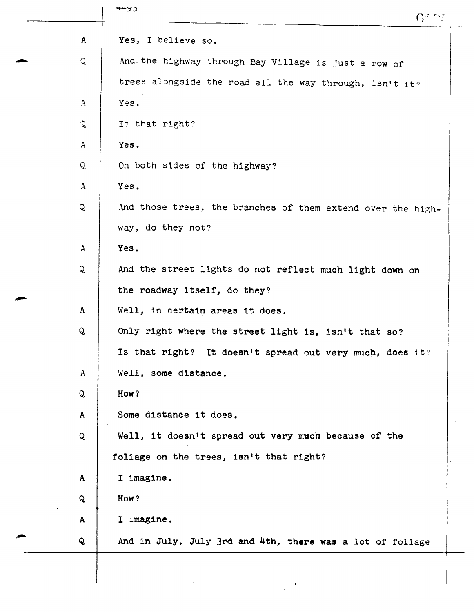|              | 6527                                                        |
|--------------|-------------------------------------------------------------|
| A            | Yes, I believe so.                                          |
| Q            | And the highway through Bay Village is just a row of        |
|              | trees alongside the road all the way through, isn't it?     |
| $\Lambda$    | Yes.                                                        |
| $\mathbf{Q}$ | Is that right?                                              |
| A            | Yes.                                                        |
| Q            | On both sides of the highway?                               |
| $\mathbf{A}$ | Yes.                                                        |
| Q            | And those trees, the branches of them extend over the high- |
|              | way, do they not?                                           |
| $\mathsf{A}$ | Yes.                                                        |
| Q            | And the street lights do not reflect much light down on     |
|              | the roadway itself, do they?                                |
| $\bf A$      | Well, in certain areas it does.                             |
| Q            | Only right where the street light is, isn't that so?        |
|              | Is that right? It doesn't spread out very much, does it?    |
| $\mathsf{A}$ | Well, some distance.                                        |
| Q            | How?                                                        |
| $\mathbf{A}$ | Some distance it does.                                      |
| Q            | Well, it doesn't spread out very much because of the        |
|              | foliage on the trees, isn't that right?                     |
| $\mathbf{A}$ | I imagine.                                                  |
| Q            | How?                                                        |
| $\mathbf{A}$ | I imagine.                                                  |
| Q            | And in July, July 3rd and 4th, there was a lot of foliage   |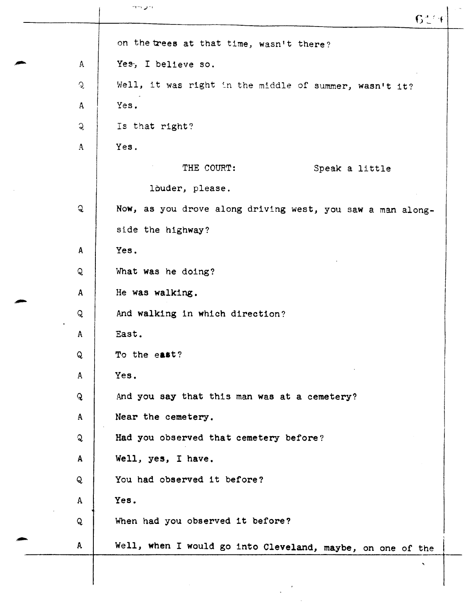|               | יר עורד<br>61                                              |
|---------------|------------------------------------------------------------|
|               | on the trees at that time, wasn't there?                   |
| $\mathsf{A}$  | Yes, I believe so.                                         |
| $\mathcal{L}$ | Well, it was right in the middle of summer, wasn't it?     |
| A             | Yes.                                                       |
| $\mathbf{Q}$  | Is that right?                                             |
| $\mathbf{A}$  | Yes.                                                       |
|               | THE COURT:<br>Speak a little                               |
|               | louder, please.                                            |
| Q             | Now, as you drove along driving west, you saw a man along- |
|               | side the highway?                                          |
| $\mathbf{A}$  | Yes.                                                       |
| Q             | What was he doing?                                         |
| $\mathbf{A}$  | He was walking.                                            |
| Q             | And walking in which direction?                            |
| A             | East.                                                      |
| Q             | To the east?                                               |
| A             | Yes.                                                       |
| $\mathbf{Q}$  | And you say that this man was at a cemetery?               |
| $\mathbf{A}$  | Near the cemetery.                                         |
| Q             | Had you observed that cemetery before?                     |
| A             | Well, yes, I have.                                         |
| Q             | You had observed it before?                                |
| $\mathbf{A}$  | Yes.                                                       |
| Q             | When had you observed it before?                           |
| $\mathbf{A}$  | Well, when I would go into Cleveland, maybe, on one of the |
|               |                                                            |
|               |                                                            |
|               |                                                            |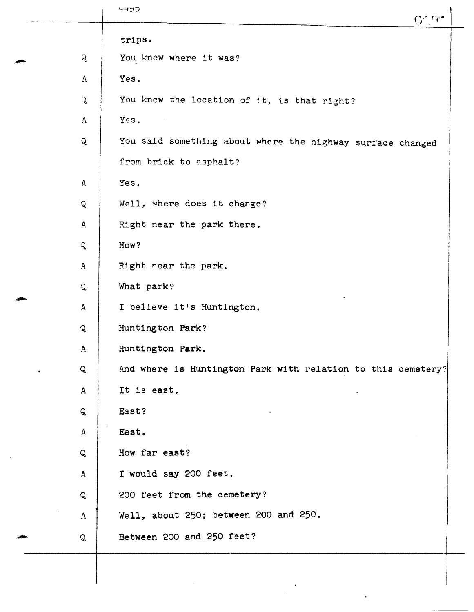|               | 4492<br>$6^\circ$ fin                                        |
|---------------|--------------------------------------------------------------|
|               | trips.                                                       |
| Q             | You knew where it was?                                       |
| $\mathbf{A}$  | Yes.                                                         |
| $\mathcal{L}$ | You knew the location of it, is that right?                  |
| $\Lambda$     | Yes.                                                         |
| $\mathbf{Q}$  | You said something about where the highway surface changed   |
|               | from brick to asphalt?                                       |
| A             | Yes.                                                         |
| $\mathbf{Q}$  | Well, where does it change?                                  |
| $\mathbf{A}$  | Right near the park there.                                   |
| Q             | How?                                                         |
| $\mathbf{A}$  | Right near the park.                                         |
| $\mathbf{Q}$  | What park?                                                   |
| $\mathsf{A}$  | I believe it's Huntington.                                   |
| Q             | Huntington Park?                                             |
| A             | Huntington Park.                                             |
| Q             | And where is Huntington Park with relation to this cemetery? |
| $\mathbf{A}$  | It is east.                                                  |
| Q             | East?                                                        |
| $\mathbf{A}$  | East.                                                        |
| Q             | How far east?                                                |
| A             | I would say 200 feet.                                        |
| Q             | 200 feet from the cemetery?                                  |
| $\mathbf{A}$  | Well, about 250; between 200 and 250.                        |
|               | Between 200 and 250 feet?                                    |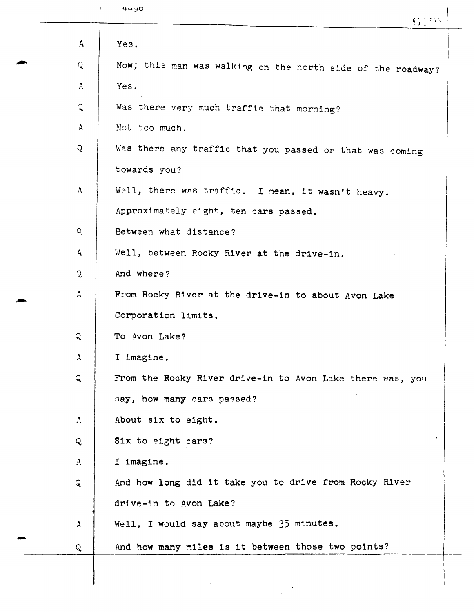|              | 4490<br>62.95                                               |
|--------------|-------------------------------------------------------------|
| A            | Yes.                                                        |
| Q            | Now, this man was walking on the north side of the roadway? |
| A.           | Yes.                                                        |
| $\mathbf{Q}$ | Was there very much traffic that morning?                   |
| $\mathbf{A}$ | Not too much.                                               |
| Q            | Was there any traffic that you passed or that was coming    |
|              | towards you?                                                |
| $\mathbf{A}$ | Well, there was traffic. I mean, it wasn't heavy.           |
|              | Approximately eight, ten cars passed.                       |
| Q            | Between what distance?                                      |
| A            | Well, between Rocky River at the drive-in.                  |
| $\mathbf Q$  | And where?                                                  |
| $\mathsf{A}$ | From Rocky River at the drive-in to about Avon Lake         |
|              | Corporation limits.                                         |
| Q            | To Avon Lake?                                               |
| $\mathbf{A}$ | I imagine.                                                  |
| Q            | From the Rocky River drive-in to Avon Lake there was, you   |
|              | say, how many cars passed?                                  |
| $\mathbf{A}$ | About six to eight.                                         |
| Q            | Six to eight cars?                                          |
| $\mathbf{A}$ | I imagine.                                                  |
| Q            | And how long did it take you to drive from Rocky River      |
|              | drive-in to Avon Lake?                                      |
| $\mathbf{A}$ | Well, I would say about maybe 35 minutes.                   |
| Q            | And how many miles is it between those two points?          |
|              |                                                             |

 $\mathbb{R}^2$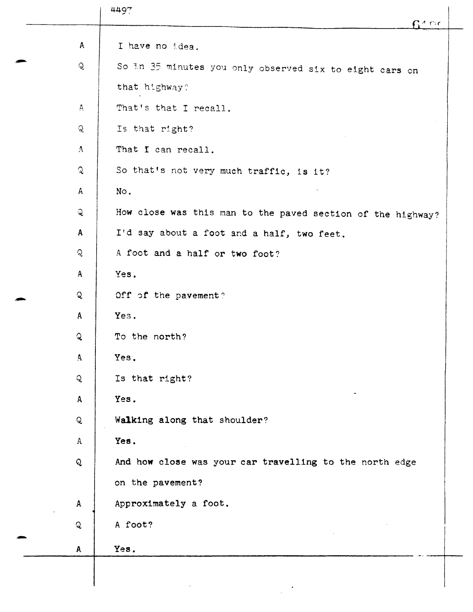|              | 4497<br>$\mathsf{G}^{\star}$ Ge                             |
|--------------|-------------------------------------------------------------|
| $\mathsf{A}$ | I have no idea.                                             |
| $\mathsf{Q}$ | So In 35 minutes you only observed six to eight cars on     |
|              | that highway?                                               |
| $\mathbf{A}$ | That's that I recall.                                       |
| Q            | Is that right?                                              |
| $\mathbf{A}$ | That I can recall.                                          |
| $\mathbf{Q}$ | So that's not very much traffic, is it?                     |
| A            | No.                                                         |
| $\mathbf{Q}$ | How close was this man to the paved section of the highway? |
| $\mathbf{A}$ | I'd say about a foot and a half, two feet.                  |
| Q            | A foot and a half or two foot?                              |
| $\mathbf{A}$ | Yes.                                                        |
| Q            | Off of the pavement?                                        |
| $\mathbf{A}$ | Yes.                                                        |
| $\mathbf{Q}$ | To the north?                                               |
| $\Delta$     | Yes.                                                        |
| $\mathsf{Q}$ | Is that right?                                              |
| A            | Yes.                                                        |
| $\mathsf{Q}$ | Walking along that shoulder?                                |
| $\mathbf{A}$ | Yes.                                                        |
| Q            | And how close was your car travelling to the north edge     |
|              | on the pavement?                                            |
| $\mathbf{A}$ | Approximately a foot.                                       |
| Q            | A foot?                                                     |
| A            | Yes.                                                        |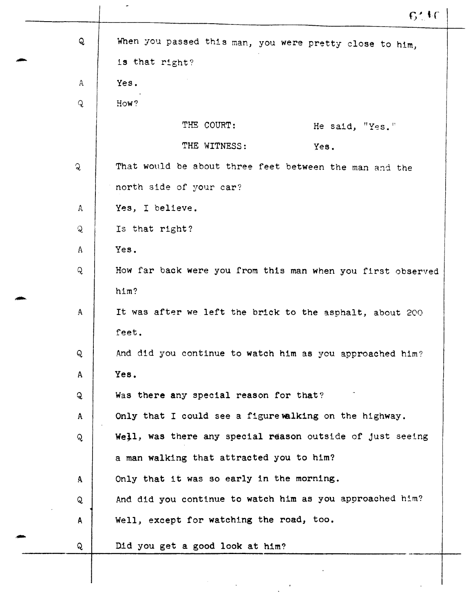|              | 641                                                         |
|--------------|-------------------------------------------------------------|
| Q            | When you passed this man, you were pretty close to him,     |
|              | is that right?                                              |
| A            | Yes.                                                        |
| $\mathsf{Q}$ | How?                                                        |
|              | THE COURT:<br>He said, "Yes."                               |
|              | THE WITNESS:<br>Yes.                                        |
| $\mathbf{Q}$ | That would be about three feet between the man and the      |
|              | north side of your car?                                     |
| A            | Yes, I believe.                                             |
| Q            | Is that right?                                              |
| A            | Yes.                                                        |
| Q            | How far back were you from this man when you first observed |
|              | him?                                                        |
| A            | It was after we left the brick to the asphalt, about 200    |
|              | feet.                                                       |
| Q            | And did you continue to watch him as you approached him?    |
| A            | Yes.                                                        |
| $\mathbf{Q}$ | Was there any special reason for that?                      |
| $\mathbf{A}$ | Only that I could see a figure walking on the highway.      |
| Q            | Well, was there any special reason outside of just seeing   |
|              | a man walking that attracted you to him?                    |
| $\mathbf{A}$ | Only that it was so early in the morning.                   |
| Q            | And did you continue to watch him as you approached him?    |
| A            | Well, except for watching the road, too.                    |
| Q            | Did you get a good look at him?                             |
|              |                                                             |
|              |                                                             |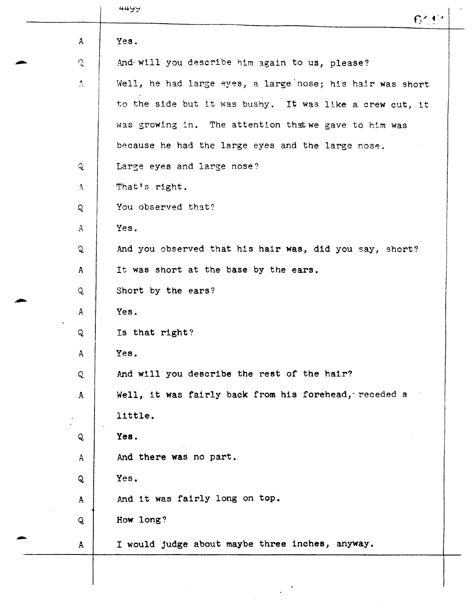|                  | 4499<br>6444                                              |
|------------------|-----------------------------------------------------------|
| $\mathbf{A}$     | Yes.                                                      |
| $\mathcal{Q}$    | And will you describe him again to us, please?            |
| $\Delta_{\rm c}$ | Well, he had large eyes, a large nose; his hair was short |
|                  | to the side but it was bushy. It was like a crew cut, it  |
|                  | was growing in. The attention that we gave to him was     |
|                  | because he had the large eyes and the large nose.         |
| $\mathcal{L}$    | Large eyes and large nose?                                |
| $\Delta$         | That's right.                                             |
| Q                | You observed that?                                        |
| $\Delta$         | Yes.                                                      |
| ्र               | And you observed that his hair was, did you say, short?   |
| $\mathsf{A}$     | It was short at the base by the ears.                     |
| Q.               | Short by the ears?                                        |
| $\mathbf{A}$     | Yes.                                                      |
| Q                | Is that right?                                            |
| A                | Yes.                                                      |
| Q                | And will you describe the rest of the hair?               |
| $\mathbf{A}$     | Well, it was fairly back from his forehead, receded a     |
|                  | little.                                                   |
| Q                | Yes.                                                      |
| A                | And there was no part.                                    |
| Q                | Yes.                                                      |
| $\mathbf{A}$     | And it was fairly long on top.                            |
| Q                | How long?                                                 |
| $\mathbf{A}$     | I would judge about maybe three inches, anyway.           |
|                  |                                                           |
|                  |                                                           |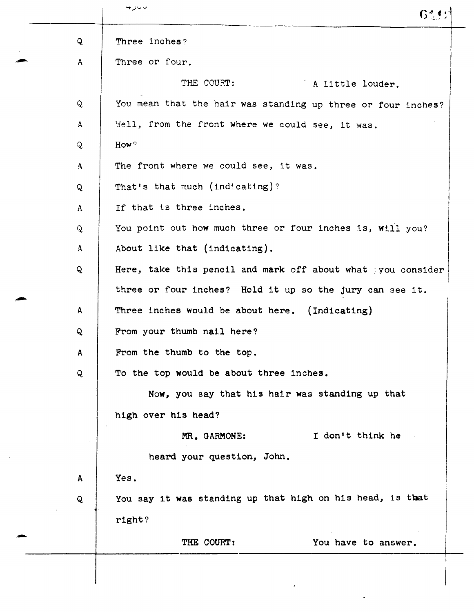|              | ب∪ر ⊷<br>64421                                               |
|--------------|--------------------------------------------------------------|
| Q            | Three inches?                                                |
| $\mathsf{A}$ | Three or four.                                               |
|              | THE COURT:<br>A little louder.                               |
| Q            | You mean that the hair was standing up three or four inches? |
| $\mathbf{A}$ | Mell, from the front where we could see, it was.             |
| Q            | How?                                                         |
| $\mathbf{A}$ | The front where we could see, it was.                        |
| Q            | That's that much (indicating)?                               |
| A            | If that is three inches.                                     |
| Q            | You point out how much three or four inches is, will you?    |
| A            | About like that (indicating).                                |
| Q            | Here, take this pencil and mark off about what you consider  |
|              | three or four inches? Hold it up so the jury can see it.     |
| A            | Three inches would be about here. (Indicating)               |
| Q            | From your thumb nail here?                                   |
| A            | From the thumb to the top.                                   |
| Q            | To the top would be about three inches.                      |
|              | Now, you say that his hair was standing up that              |
|              | high over his head?                                          |
|              | I don't think he<br>MR. GARMONE:                             |
|              | heard your question, John.                                   |
| A            | Yes.                                                         |
| Q            | You say it was standing up that high on his head, is that    |
|              | right?                                                       |
|              | THE COURT:<br>You have to answer.                            |
|              |                                                              |
|              |                                                              |

 $\bullet$ 

 $\hat{\mathcal{A}}$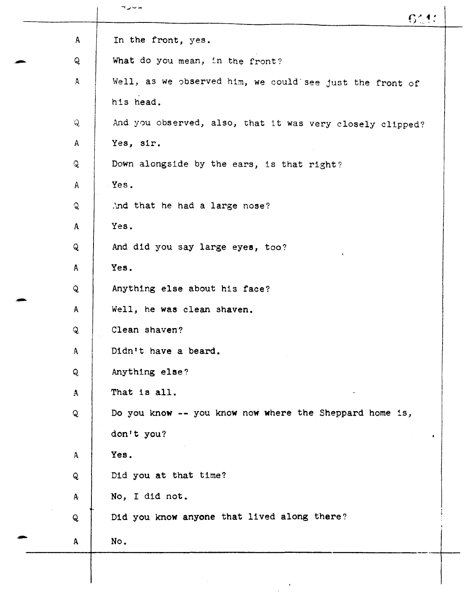|              | ュンーエ<br>6110                                              |
|--------------|-----------------------------------------------------------|
| $\mathbf{A}$ | In the front, yes.                                        |
| Q            | What do you mean, in the front?                           |
| $\mathbf{A}$ | Well, as we observed him, we could see just the front of  |
|              | his head.                                                 |
| $\mathsf{Q}$ | And you observed, also, that it was very closely clipped? |
| A            | Yes, sir.                                                 |
| $\mathbf{Q}$ | Down alongside by the ears, is that right?                |
| Α            | Yes.                                                      |
| $\mathsf{Q}$ | And that he had a large nose?                             |
| $\mathbf{A}$ | Yes.                                                      |
| Q            | And did you say large eyes, too?                          |
| $\mathbf{A}$ | Yes.                                                      |
| Q            | Anything else about his face?                             |
| A            | Well, he was clean shaven.                                |
| Q            | Clean shaven?                                             |
| A            | Didn't have a beard.                                      |
| Q            | Anything else?                                            |
| $\mathbf{A}$ | That is all.                                              |
| Q            | Do you know -- you know now where the Sheppard home is,   |
|              | don't you?                                                |
| $\mathbf{A}$ | Yes.                                                      |
| Q            | Did you at that time?                                     |
| A.           | No, I did not.                                            |
| Q            | Did you know anyone that lived along there?               |
| $\mathbf{A}$ | No.                                                       |
|              |                                                           |
|              |                                                           |
|              |                                                           |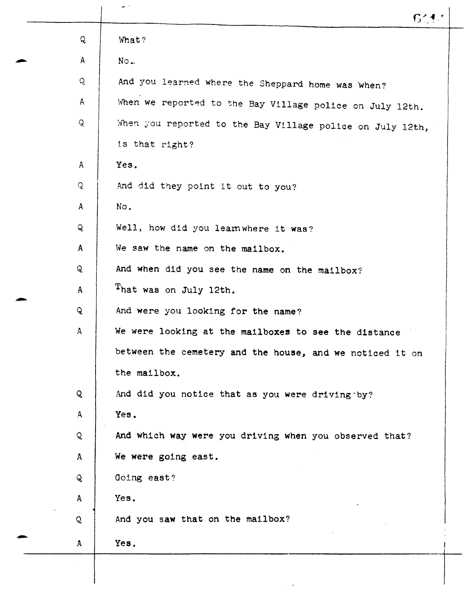|              | المستحدث<br>6111                                          |
|--------------|-----------------------------------------------------------|
| Q            | What?                                                     |
| $\mathsf{A}$ | No.                                                       |
| Q            | And you learned where the Sheppard home was when?         |
| $\mathsf{A}$ | When we reported to the Bay Village police on July 12th.  |
| Q            | When you reported to the Bay Village police on July 12th, |
|              | is that right?                                            |
| $\mathbf{A}$ | Yes.                                                      |
| Q            | And did they point it out to you?                         |
| $\mathbf{A}$ | No.                                                       |
| Q            | Well, how did you learnwhere it was?                      |
| $\mathbf{A}$ | We saw the name on the mailbox.                           |
| Q            | And when did you see the name on the mailbox?             |
| $\mathbf{A}$ | That was on July 12th.                                    |
| Q            | And were you looking for the name?                        |
| A            | We were looking at the mailboxes to see the distance      |
|              | between the cemetery and the house, and we noticed it on  |
|              | the mailbox.                                              |
| Q            | And did you notice that as you were driving by?           |
| A            | Yes.                                                      |
| Q            | And which way were you driving when you observed that?    |
| $\mathbf{A}$ | We were going east.                                       |
| $\mathsf{Q}$ | Going east?                                               |
| $\mathbf{A}$ | Yes.                                                      |
| Q            | And you saw that on the mailbox?                          |
| $\mathbf{A}$ | Yes.                                                      |
|              |                                                           |
|              |                                                           |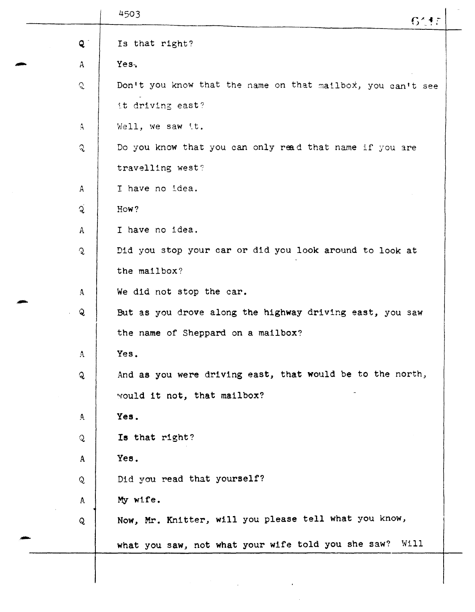|                | 4503<br>6115                                                |
|----------------|-------------------------------------------------------------|
| $Q^{\pm}$      | Is that right?                                              |
| $\mathbf{A}$   | Yes.                                                        |
| $\mathcal{C}$  | Don't you know that the name on that mailbox, you can't see |
|                | it driving east?                                            |
| A              | Well, we saw it.                                            |
| $\mathbf{C}$   | Do you know that you can only read that name if you are     |
|                | travelling west?                                            |
| $\mathsf{A}$   | I have no idea.                                             |
| $\overline{Q}$ | How?                                                        |
| $\mathbf{A}$   | I have no idea.                                             |
| $\mathbf{Q}$   | Did you stop your car or did you look around to look at     |
|                | the mailbox?                                                |
| $\mathbf{A}$   | We did not stop the car.                                    |
| $\mathbf{Q}$   | But as you drove along the highway driving east, you saw    |
|                | the name of Sheppard on a mailbox?                          |
| A              | Yes.                                                        |
| $\mathbf{Q}$   | And as you were driving east, that would be to the north,   |
|                | would it not, that mailbox?                                 |
| $\Delta$       | Yes.                                                        |
| ्              | Is that right?                                              |
| $\mathbf{A}$   | Yes.                                                        |
| $\mathbf{Q}$   | Did you read that yourself?                                 |
| A              | My wife.                                                    |
| Q              | Now, Mr. Knitter, will you please tell what you know,       |
|                | what you saw, not what your wife told you she saw? Will     |
|                |                                                             |
|                |                                                             |
|                |                                                             |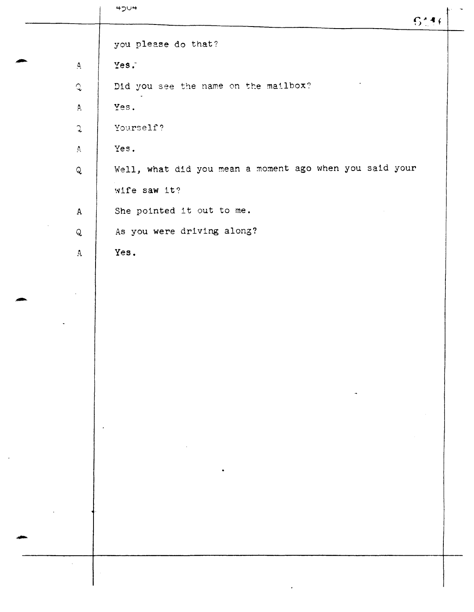|                    | $450 +$<br>5446                                         |  |
|--------------------|---------------------------------------------------------|--|
|                    | you please do that?                                     |  |
| $\pmb{\mathsf{A}}$ | Yes.                                                    |  |
| $\mathcal{L}$      | Did you see the name on the mailbox?                    |  |
| $\Delta$           | Yes.                                                    |  |
| $\mathfrak{I}$     | Yourself?                                               |  |
| $\Lambda$          | Yes.                                                    |  |
| $\hbox{\bf Q}$     | Well, what did you mean a moment ago when you said your |  |
|                    | wife saw it?                                            |  |
| $\mathbf{A}$       | She pointed it out to me.                               |  |
| $\mathsf{Q}$       | As you were driving along?                              |  |
| $\mathbf{A}$       | Yes.                                                    |  |
|                    |                                                         |  |
|                    |                                                         |  |
|                    |                                                         |  |
|                    |                                                         |  |
|                    |                                                         |  |
|                    |                                                         |  |
|                    |                                                         |  |
|                    | $\bullet$                                               |  |
|                    |                                                         |  |
|                    |                                                         |  |
|                    |                                                         |  |
|                    |                                                         |  |
|                    |                                                         |  |
|                    |                                                         |  |
|                    |                                                         |  |
|                    |                                                         |  |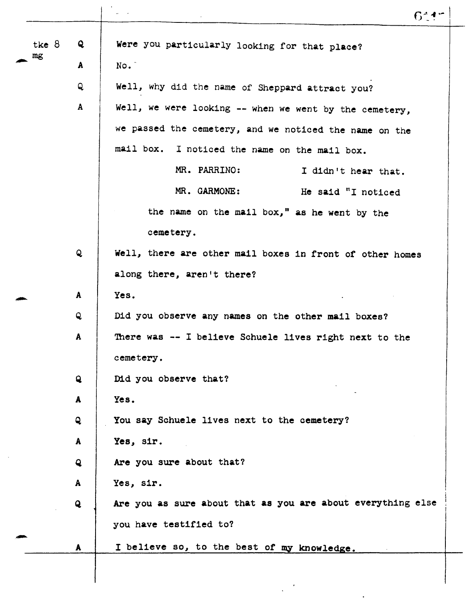|         |              | $6^{\circ}$ 1                                               |
|---------|--------------|-------------------------------------------------------------|
| tke $8$ | Q            | Were you particularly looking for that place?               |
| mg      | A            | No.                                                         |
|         | Q            | Well, why did the name of Sheppard attract you?             |
|         | A            | Well, we were looking -- when we went by the cemetery,      |
|         |              | we passed the cemetery, and we noticed the name on the      |
|         |              | mail box. I noticed the name on the mail box.               |
|         |              | MR. PARRINO:<br>I didn't hear that.                         |
|         |              | MR. GARMONE:<br>He said "I noticed                          |
|         |              | the name on the mail box," as he went by the                |
|         |              | cemetery.                                                   |
|         | $\mathbf{Q}$ | Well, there are other mail boxes in front of other homes    |
|         |              | along there, aren't there?                                  |
|         | A            | Yes.                                                        |
|         | Q            | Did you observe any names on the other mail boxes?          |
|         | A            | There was -- I believe Schuele lives right next to the      |
|         |              | cemetery.                                                   |
|         | $\mathbf{Q}$ | Did you observe that?                                       |
|         | A            | Yes.                                                        |
|         | $\mathbf{Q}$ | You say Schuele lives next to the cemetery?                 |
|         | $\mathbf{A}$ | Yes, sir.                                                   |
|         | $\mathbf{Q}$ | Are you sure about that?                                    |
|         | $\mathbf{A}$ | Yes, sir.                                                   |
|         | $\mathbf{Q}$ | Are you as sure about that as you are about everything else |
|         |              | you have testified to?                                      |
|         | A            | I believe so, to the best of my knowledge.                  |
|         |              |                                                             |

 $\ddot{\phantom{a}}$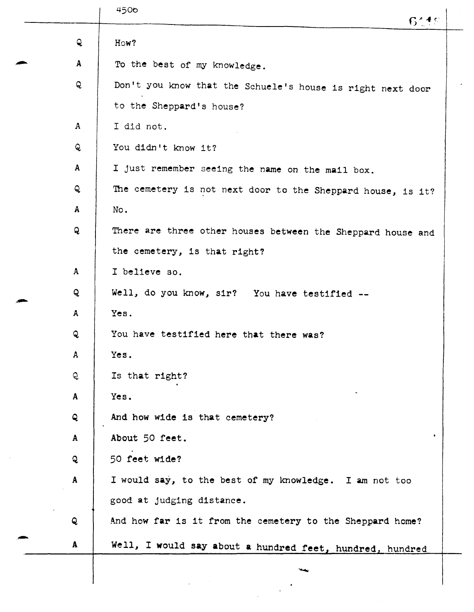| Q            | How?                                                        |
|--------------|-------------------------------------------------------------|
| A            | To the best of my knowledge.                                |
| Q            | Don't you know that the Schuele's house is right next door  |
|              | to the Sheppard's house?                                    |
| $\mathbf{A}$ | I did not.                                                  |
| ୍ତ           | You didn't know it?                                         |
| $\mathbf{A}$ | I just remember seeing the name on the mail box.            |
| Q            | The cemetery is not next door to the Sheppard house, is it? |
| $\mathbf{A}$ | No.                                                         |
| Q            | There are three other houses between the Sheppard house and |
|              | the cemetery, is that right?                                |
| A            | I believe so.                                               |
| Q            | Well, do you know, sir? You have testified --               |
| A            | Yes.                                                        |
| Q            | You have testified here that there was?                     |
| A            | Yes.                                                        |
| Q            | Is that right?                                              |
| $\mathbf{A}$ | Yes.                                                        |
| Q            | And how wide is that cemetery?                              |
| $\mathbf{A}$ | About 50 feet.                                              |
| Q            | 50 feet wide?                                               |
| $\mathbf{A}$ | I would say, to the best of my knowledge. I am not too      |
|              | good at judging distance.                                   |
| Q            | And how far is it from the cemetery to the Sheppard home?   |
| A            | Well, I would say about a hundred feet, hundred, hundred    |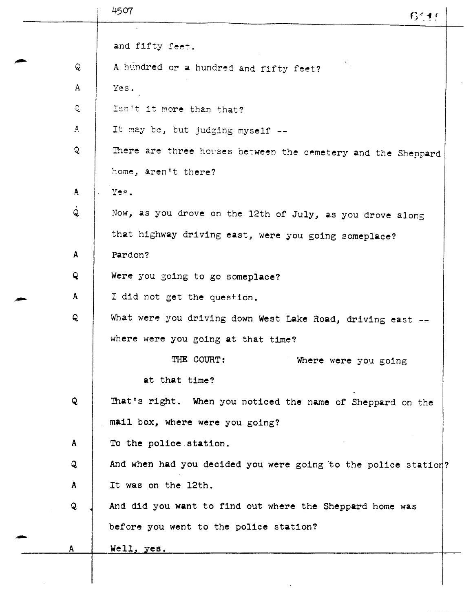| ୍କ<br>$\mathbf{A}$<br>् | and fifty feet.<br>A hundred or a hundred and fifty feet?<br>Yes. |
|-------------------------|-------------------------------------------------------------------|
|                         |                                                                   |
|                         |                                                                   |
|                         |                                                                   |
|                         |                                                                   |
|                         | Isn't it more than that?                                          |
| $\mathbf{A}$            | It may be, but judging myself --                                  |
| Q.                      | There are three houses between the cemetery and the Sheppard      |
|                         | home, aren't there?                                               |
| $\mathbf{A}$            | Yes.                                                              |
| Q                       | Now, as you drove on the 12th of July, as you drove along         |
|                         | that highway driving east, were you going someplace?              |
| $\mathbf{A}$            | Pardon?                                                           |
| $\mathbf{Q}$            | Were you going to go someplace?                                   |
| A                       | I did not get the question.                                       |
| Q                       | What were you driving down West Lake Road, driving east --        |
|                         | where were you going at that time?                                |
|                         | THE COURT:<br>Where were you going                                |
|                         | at that time?                                                     |
| Q                       | That's right. When you noticed the name of Sheppard on the        |
|                         | mail box, where were you going?                                   |
| $\mathbf{A}$            | To the police station.                                            |
| Q                       | And when had you decided you were going to the police station?    |
| $\mathbf{A}$            | It was on the 12th.                                               |
| $\mathbf{Q}$            | And did you want to find out where the Sheppard home was          |
|                         | before you went to the police station?                            |
| A                       | Well, yes.                                                        |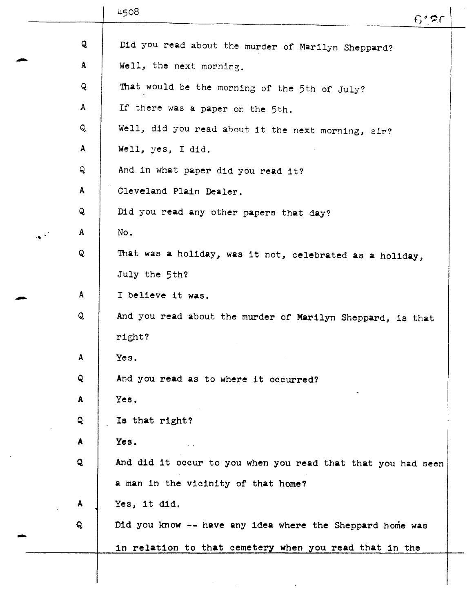|                                        | 4508<br>6420                                                 |
|----------------------------------------|--------------------------------------------------------------|
| Q                                      |                                                              |
| $\mathbf{A}$                           | Did you read about the murder of Marilyn Sheppard?           |
|                                        | Well, the next morning.                                      |
| Q                                      | That would be the morning of the 5th of July?                |
| A                                      | If there was a paper on the 5th.                             |
| Q                                      | Well, did you read about it the next morning, sir?           |
| $\mathbf{A}$                           | Well, yes, I did.                                            |
| Q                                      | And in what paper did you read it?                           |
| $\mathbf{A}$                           | Cleveland Plain Dealer.                                      |
| Q                                      | Did you read any other papers that day?                      |
| A<br>$\mathcal{A}^{\text{c},\text{c}}$ | No.                                                          |
| Q                                      | That was a holiday, was it not, celebrated as a holiday,     |
|                                        | July the 5th?                                                |
| $\mathbf{A}$                           | I believe it was.                                            |
| Q                                      | And you read about the murder of Marilyn Sheppard, is that   |
|                                        | right?                                                       |
| A                                      | Yes.                                                         |
| Q                                      | And you read as to where it occurred?                        |
| $\mathbf{A}$                           | Yes.                                                         |
| Q                                      | Is that right?                                               |
| A                                      | Yes.                                                         |
| Q                                      | And did it occur to you when you read that that you had seen |
|                                        | a man in the vicinity of that home?                          |
| A                                      | Yes, it did.                                                 |
| Q                                      | Did you know -- have any idea where the Sheppard home was    |
|                                        |                                                              |
|                                        | in relation to that cemetery when you read that in the       |
|                                        |                                                              |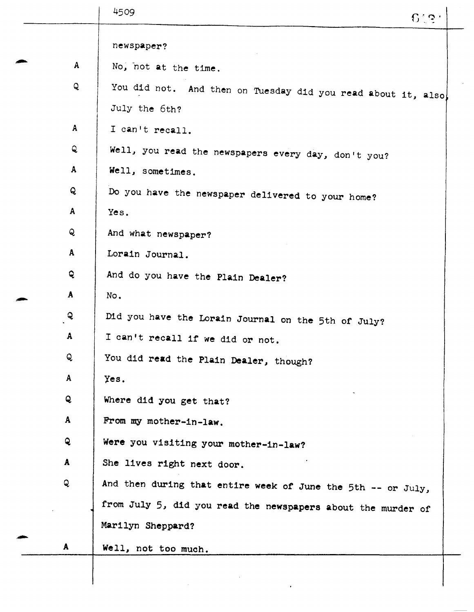|              | 4509<br>$6^\circ$ ទ្ធក                                             |
|--------------|--------------------------------------------------------------------|
|              | newspaper?                                                         |
|              | $\mathbf{A}$<br>No, not at the time.                               |
|              | Q<br>You did not. And then on Tuesday did you read about it, also, |
|              | July the 6th?                                                      |
| $\mathbf{A}$ | I can't recall.                                                    |
| Q            | Well, you read the newspapers every day, don't you?                |
| A            | Well, sometimes.                                                   |
| Q            | Do you have the newspaper delivered to your home?                  |
| $\mathbf{A}$ | Yes.                                                               |
| Q            | And what newspaper?                                                |
| $\mathbf{A}$ | Lorain Journal.                                                    |
| Q            | And do you have the Plain Dealer?                                  |
| A            | No.                                                                |
| Q            | Did you have the Lorain Journal on the 5th of July?                |
| A            | I can't recall if we did or not.                                   |
| Q            | You did read the Plain Dealer, though?                             |
| A            | Yes.                                                               |
| Q            | Where did you get that?                                            |
| A            | From my mother-in-law.                                             |
| Q            | Were you visiting your mother-in-law?                              |
| A            | She lives right next door.                                         |
| Q            | And then during that entire week of June the 5th -- or July,       |
|              | from July 5, did you read the newspapers about the murder of       |
|              | Marilyn Sheppard?                                                  |
| $\mathbf{A}$ | Well, not too much.                                                |

 $\frac{1}{2}$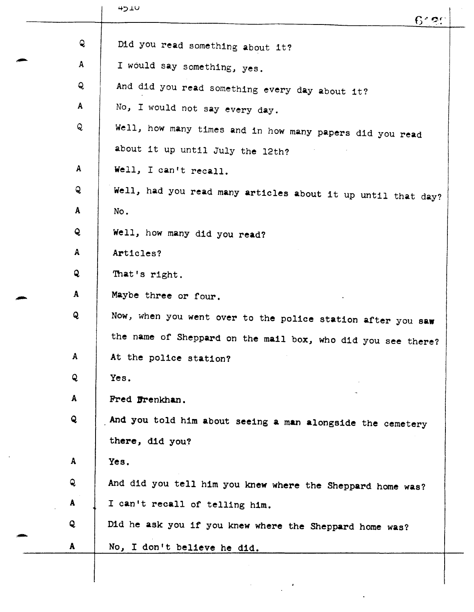|              | 4510<br>$6^\circ$ 2.1                                        |
|--------------|--------------------------------------------------------------|
| Q            | Did you read something about it?                             |
| $\mathbf{A}$ | I would say something, yes.                                  |
| Q            | And did you read something every day about it?               |
| $\mathbf{A}$ | No, I would not say every day.                               |
| Q            | Well, how many times and in how many papers did you read     |
|              | about it up until July the 12th?                             |
| A            | Well, I can't recall.                                        |
| Q            | Well, had you read many articles about it up until that day? |
| $\mathbf{A}$ | No.                                                          |
| $\mathbf{Q}$ | Well, how many did you read?                                 |
| $\mathbf{A}$ | Articles?                                                    |
| Q            | That's right.                                                |
| $\mathbf{A}$ | Maybe three or four.                                         |
| Q            | Now, when you went over to the police station after you saw  |
|              | the name of Sheppard on the mail box, who did you see there? |
| $\mathbf{A}$ | At the police station?                                       |
| Q            | Yes.                                                         |
| A            | Fred Frenkhan.                                               |
| Q            | And you told him about seeing a man alongside the cemetery   |
|              | there, did you?                                              |
| A            | Yes.                                                         |
| Q            | And did you tell him you knew where the Sheppard home was?   |
| A            | I can't recall of telling him.                               |
| Q            | Did he ask you if you knew where the Sheppard home was?      |
| A            | No, I don't believe he did.                                  |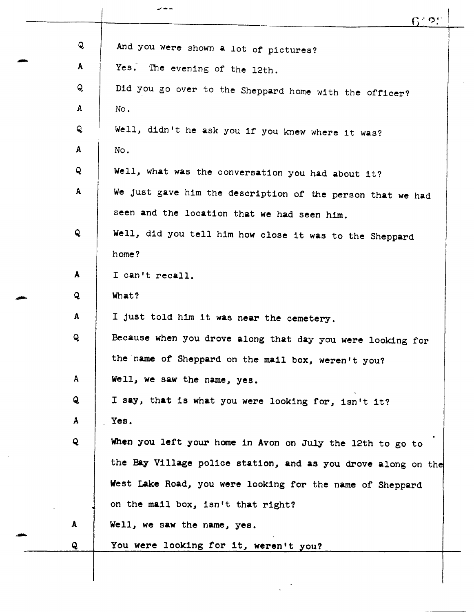|              | ندید ہے -<br>$6^{\circ}$ 25                                   |
|--------------|---------------------------------------------------------------|
|              |                                                               |
| Q            | And you were shown a lot of pictures?                         |
| A            | Yes. The evening of the 12th.                                 |
| Q            | Did you go over to the Sheppard home with the officer?        |
| A            | No.                                                           |
| Q            | Well, didn't he ask you if you knew where it was?             |
| A            | No.                                                           |
| Q            | Well, what was the conversation you had about it?             |
| $\mathbf{A}$ | We just gave him the description of the person that we had    |
|              | seen and the location that we had seen him.                   |
| Q            | Well, did you tell him how close it was to the Sheppard       |
|              | home?                                                         |
| A            | I can't recall.                                               |
| Q            | What?                                                         |
| A            | I just told him it was near the cemetery.                     |
| Q            | Because when you drove along that day you were looking for    |
|              | the name of Sheppard on the mail box, weren't you?            |
| A            | Well, we saw the name, yes.                                   |
| Q            | I say, that is what you were looking for, isn't it?           |
| A            | Yes.                                                          |
| Q            | When you left your home in Avon on July the 12th to go to     |
|              | the Bay Village police station, and as you drove along on the |
|              | West Lake Road, you were looking for the name of Sheppard     |
|              | on the mail box, isn't that right?                            |
| A            | Well, we saw the name, yes.                                   |
| Q            | You were looking for it, weren't you?                         |
|              |                                                               |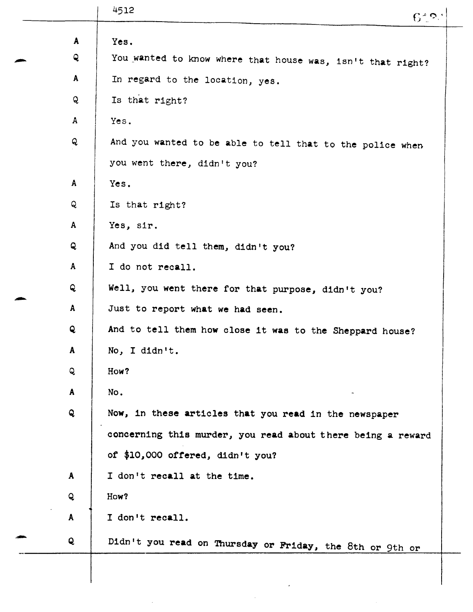|              | 4512<br>$6^{\circ}$ ာ္                                      |
|--------------|-------------------------------------------------------------|
| A            | Yes.                                                        |
| Q            | You wanted to know where that house was, isn't that right?  |
| A            | In regard to the location, yes.                             |
| Q            | Is that right?                                              |
| $\mathbf{A}$ | Yes.                                                        |
| Q            | And you wanted to be able to tell that to the police when   |
|              | you went there, didn't you?                                 |
| A            | Yes.                                                        |
| Q            | Is that right?                                              |
| A            | Yes, sir.                                                   |
| Q            | And you did tell them, didn't you?                          |
| A            | I do not recall.                                            |
| Q            | Well, you went there for that purpose, didn't you?          |
| $\mathbf{A}$ | Just to report what we had seen.                            |
| Q            | And to tell them how close it was to the Sheppard house?    |
| A            | No, I didn't.                                               |
| Q            | How?                                                        |
| A            | No.                                                         |
| Q            | Now, in these articles that you read in the newspaper       |
|              | concerning this murder, you read about there being a reward |
|              | of \$10,000 offered, didn't you?                            |
| A            | I don't recall at the time.                                 |
| Q            | How?                                                        |
| A            | I don't recall.                                             |
| Q            | Didn't you read on Thursday or Friday, the 8th or 9th or    |
|              |                                                             |

 $\epsilon$ 

 $\mathcal{L}^{\text{max}}_{\text{max}}$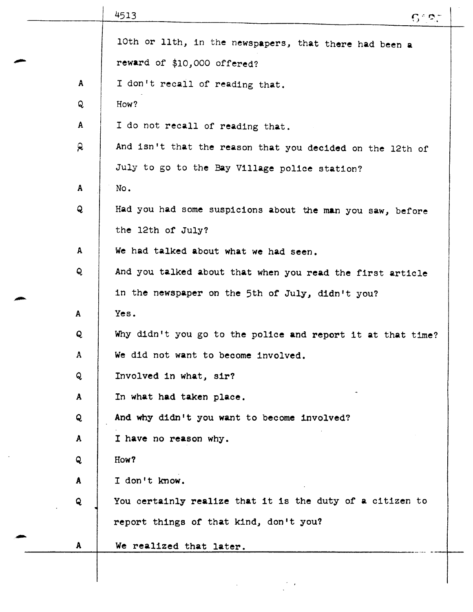|              | 4513<br>6.27                                                |
|--------------|-------------------------------------------------------------|
|              | 10th or 11th, in the newspapers, that there had been a      |
|              | reward of \$10,000 offered?                                 |
| $\mathbf{A}$ | I don't recall of reading that.                             |
| Q            | How?                                                        |
| $\mathbf{A}$ | I do not recall of reading that.                            |
| Q            | And isn't that the reason that you decided on the 12th of   |
|              | July to go to the Bay Village police station?               |
| $\mathbf{A}$ | No.                                                         |
| Q            | Had you had some suspicions about the man you saw, before   |
|              | the 12th of July?                                           |
| $\mathbf{A}$ | We had talked about what we had seen.                       |
| Q            | And you talked about that when you read the first article   |
|              | in the newspaper on the 5th of July, didn't you?            |
| A            | Yes.                                                        |
| Q            | Why didn't you go to the police and report it at that time? |
| A            | We did not want to become involved.                         |
| Q            | Involved in what, sir?                                      |
| A            | In what had taken place.                                    |
| Q            | And why didn't you want to become involved?                 |
| A            | I have no reason why.                                       |
| Q            | How?                                                        |
| A            | I don't know.                                               |
| Q            | You certainly realize that it is the duty of a citizen to   |
|              | report things of that kind, don't you?                      |
| A            | We realized that later.                                     |
|              |                                                             |
|              |                                                             |

 $\ddot{\phantom{a}}$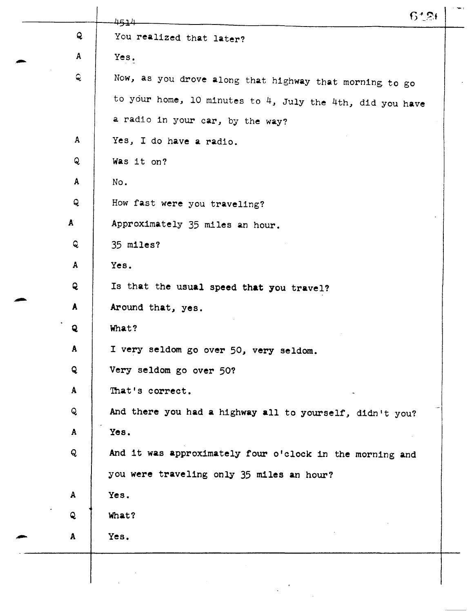|              | 6126<br>4514                                                 |
|--------------|--------------------------------------------------------------|
| Q            | You realized that later?                                     |
| $\mathbf{A}$ | Yes.                                                         |
| Q            | Now, as you drove along that highway that morning to go      |
|              | to your home, 10 minutes to $4$ , July the 4th, did you have |
|              | a radio in your car, by the way?                             |
| $\mathbf{A}$ | Yes, I do have a radio.                                      |
| Q            | Was it on?                                                   |
| $\mathbf{A}$ | No.                                                          |
| Q            | How fast were you traveling?                                 |
| $\mathbf{A}$ | Approximately 35 miles an hour.                              |
| Q            | 35 miles?                                                    |
| $\mathbf{A}$ | Yes.                                                         |
| $\mathbf{Q}$ | Is that the usual speed that you travel?                     |
| $\mathbf{A}$ | Around that, yes.                                            |
| $\mathbf{Q}$ | What?                                                        |
| A            | I very seldom go over 50, very seldom.                       |
| Q            | Very seldom go over 50?                                      |
| $\mathbf{A}$ | That's correct.                                              |
| Q            | And there you had a highway all to yourself, didn't you?     |
| $\mathbf{A}$ | Yes.                                                         |
| Q            | And it was approximately four o'clock in the morning and     |
|              | you were traveling only 35 miles an hour?                    |
| A            | Yes.                                                         |
| Q            | What?                                                        |
| A            | Yes.                                                         |
|              |                                                              |
|              |                                                              |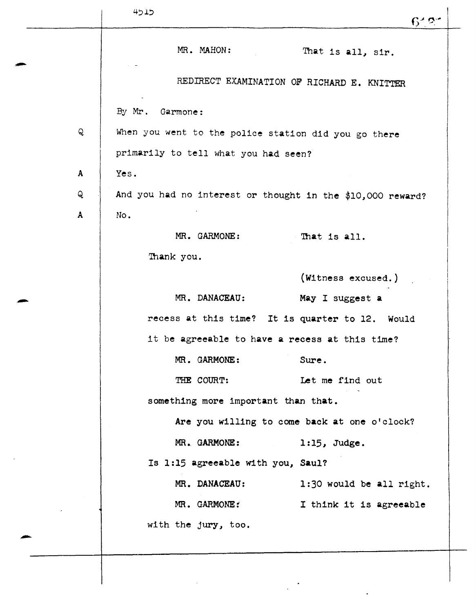|              | 4515                                                       | $6^{\prime}$ ၁                               |
|--------------|------------------------------------------------------------|----------------------------------------------|
|              | MR. MAHON:                                                 | That is all, sir.                            |
|              |                                                            | REDIRECT EXAMINATION OF RICHARD E. KNITTER   |
|              | By Mr. Garmone:                                            |                                              |
| ${\sf Q}$    | When you went to the police station did you go there       |                                              |
|              | primarily to tell what you had seen?                       |                                              |
| $\mathbf{A}$ | Yes.                                                       |                                              |
| Q            | And you had no interest or thought in the \$10,000 reward? |                                              |
| A            | No.                                                        |                                              |
|              | MR. GARMONE:                                               | That is all.                                 |
|              | Thank you.                                                 |                                              |
|              |                                                            | (Witness excused.)                           |
|              | MR. DANACEAU:                                              | May I suggest a                              |
|              | recess at this time? It is quarter to 12. Would            |                                              |
|              | it be agreeable to have a recess at this time?             |                                              |
|              | MR. GARMONE:                                               | Sure.                                        |
|              | THE COURT:                                                 | Let me find out                              |
|              | something more important than that.                        |                                              |
|              |                                                            | Are you willing to come back at one o'clock? |
|              | MR. GARMONE:                                               | $1:15$ , Judge.                              |
|              | Is 1:15 agreeable with you, Saul?                          |                                              |
|              | MR. DANACEAU:                                              | 1:30 would be all right.                     |
|              | MR. GARMONE:                                               | I think it is agreeable                      |
|              | with the jury, too.                                        |                                              |
|              |                                                            |                                              |
|              |                                                            |                                              |
|              |                                                            |                                              |